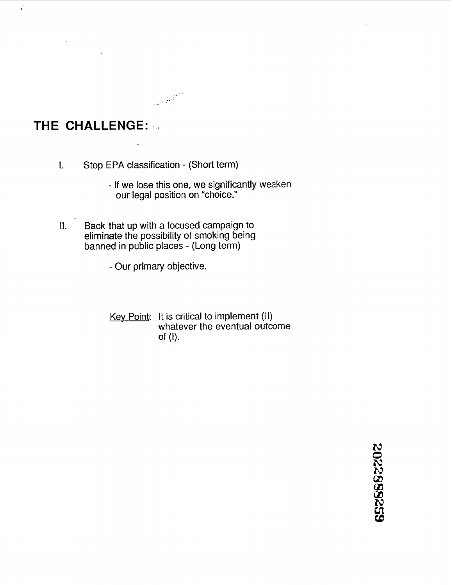## **THE CHALLENGE: ...**

l,

I. Stop EPA classification - (Short term)

- If we lose this one, we significantly weaken our legal position on "choice."
- 1. Back that up with a focused campaign to eliminate the possibility of smoking being banned in public places - (Long term)
	- Our primary objective.
	- Key Point: It is critical to implement (II) whatever the eventual outcome of (I).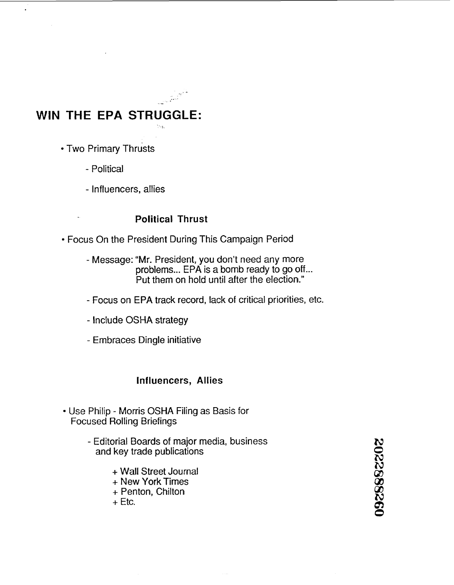# **WIN THE EPA STRUGGLE:**

• Two Primary Thrusts

 $\overline{a}$ 

- Political
- Influencers, allies

#### **Political Thrust**

tiva.

- Focus On the President During This Campaign Period
	- Message: "Mr. President, you don't need any more problems... EPA is a bomb ready to go off...<br>Put them on hold until after the election."
	- Focus on EPA track record, lack of critical priorities, etc.
	- Include OSHA strategy
	- Embraces Dingle initiative

#### **Influencers, Allies**

- Use Philip Morris OSHA Filing as Basis for Focused Rolling Brieflings
	- Editorial Boards of major media, business and key trade publications
		- + Wall Street Journal
		- + New York Times
		- + Penton, Chilton
		- $+$  Etc.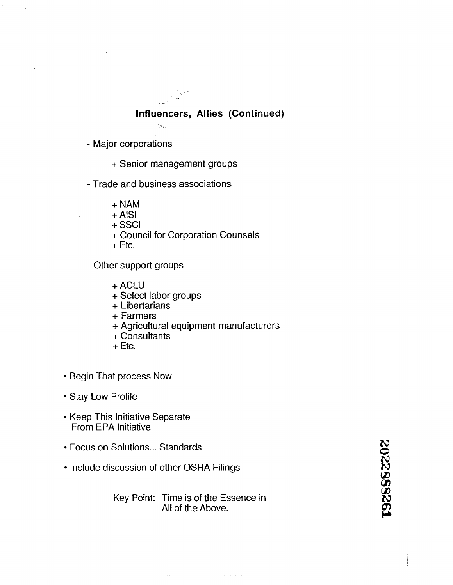#### Influencers, Allies (Continued)

.<br>Vite

- Major corporations
	- + Senior management groups
- Trade and business associations
	- + NAM
	- $+$  AISI
	- + ssci
	- + Council for Corporation Counsels
	- **-t:** Etc.
- Other support groups
	- + ACLU
	- + Select labor groups
	- + Libertarians
	- + Farmers
	- + Agricultural equipment manufacturers
	- + Consultants
	- $+$  Etc.
- Begin That process Now
- Stay Low Profile
- Keep This Initiative Separate From EPA Initiative
- Focus on Solutions ... Standards
- Include discussion of other OSHA Filings

Key Point: Time is of the Essence in All of the Above.

1928882202

ķ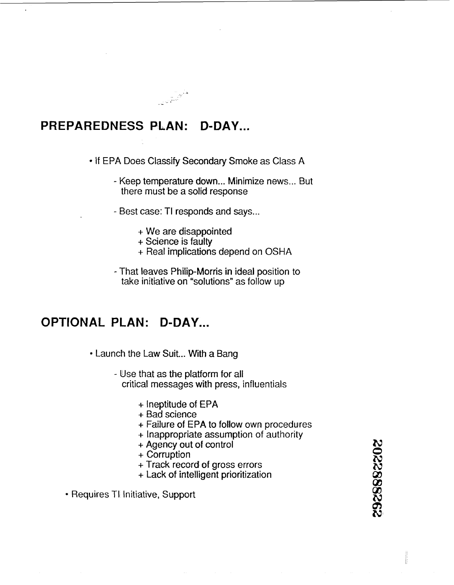#### **PREPAREDNESS PLAN: D-DAY** ...

• If EPA Does Classify Secondary Smoke as Class A

- Keep temperature down... Minimize news... But there must be a solid response
- Best case: TI responds and says ...
	- $+$  We are disappointed.
	- + Science is faulty

- + Real implications depend on OSHA
- That leaves Philip-Morris in ideal position to take initiative on "solutions" as follow up

#### **OPTIONAL PLAN: D-DAY...**

• Launch the Law Suit... With a Bang

- Use that as the platform for all critical messages with press, influentials
	- + Ineptitude of EPA
	- + Bad science
	- + Failure of EPA to follow own procedures
	- + Inappropriate assumption of authority
	- + Agency out of control
	- + Corruption
	- + Track record of gross errors
	- + Lack of intelligent prioritization

• Requires TI Initiative, Support

20228882262

ii<br>E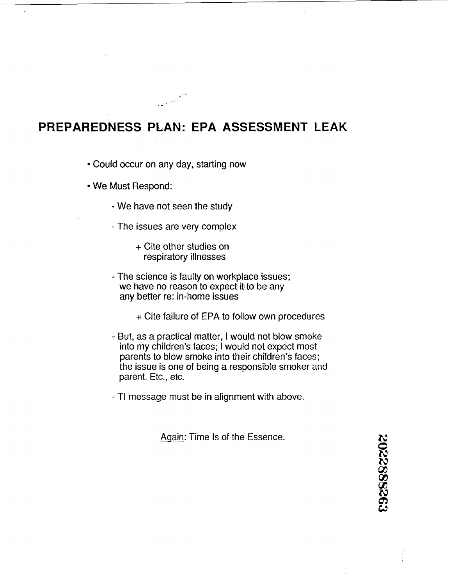#### **PREPAREDNESS PLAN: EPA ASSESSMENT LEAK**

Could occur on any day, starting now

- We Must Respond:
	- We have not seen the study
	- The issues are very complex
		- + Cite other studies on respiratory illnesses
	- The science is faulty on workplace issues; we have no reason to expect it to be any any better re: in-home issues
		- + Cite failure of EPA to follow own procedures
	- But, as a practical matter, I would not blow smoke into my children's faces; I would not expect most parents to blow smoke into their children's faces; the issue is one of being a responsible smoker and parent. Etc., etc.
	- TI message must be in alignment with above.

Again: Time Is of the Essence.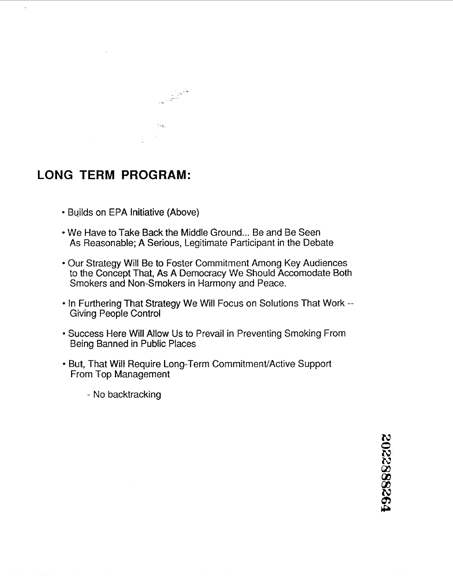

### **LONG TERM PROGRAM:**

- Builds on EPA Initiative (Above)
- We Have to Take Back the Middle Ground... Be and Be Seen As Reasonable; A Serious, Legitimate Participant in the Debate
- Our Strategy Will Be to Foster Commitment Among Key Audiences to the Concept That, *As* **A** Democracy We Should Accomodate Both Smokers and Non-Smokers in Harmony and Peace.
- In Furthering That Strategy We Will Focus on Solutions That Work --Giving People Control
- Success Here Will Allow Us to Prevail in Preventing Smoking From Being Banned in Public Places
- But, That Will Require Long-Term Commitment/Active Support From Top Management
	- No backtracking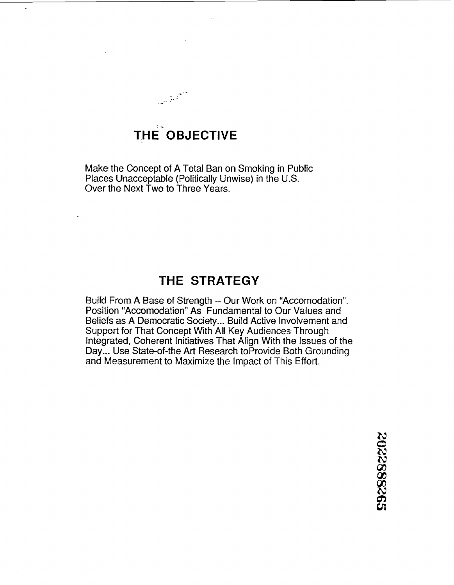# THE OBJECTIVE

Make the Concept of A Total Ban on Smoking in Public Places Unacceptable (Politically Unwise) in the U.S. Over the Next TWO to Three Years.

#### **THE STRATEGY**

Build From A Base of Strength -- Our Work on "Accomodation". Position "Accomodation" As Fundamental to Our Values and Beliefs as A Democratic Society ... Build Active Involvement and Support for That Concept With All Key Audiences Through Integrated, Coherent Initiatives That Align With the Issues of the Day... Use State-of-the Art Research to Provide Both Grounding and Measurement to Maximize the Impact of This Effort.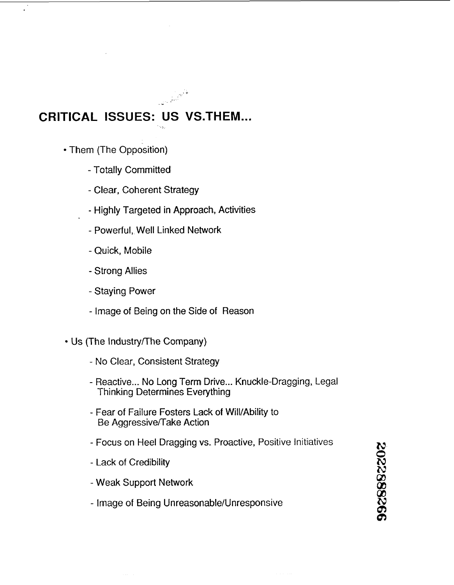# **CRITICAL ISSUES: US VS.THEM** ... '. :..

- Them (The Opposition)
	- Totally Committed
	- Clear, Coherent Strategy
	- Highly Targeted in Approach, Activities
	- Powerful, Well Linked Network
	- Quick, Mobile
	- Strong Allies
	- Staying Power
	- Image of Being on the Side of Reason
- Us (The Industry/The Company)
	- No Clear, Consistent Strategy
	- Reactive ... No Long Term Drive ... Knuckle-Dragging, Legal Thinking Determines Everything
	- Fear of Failure Fosters Lack of Will/Ability to Be Aggressive/Take Action
	- Focus on Heel Dragging vs. Proactive, Positive Initiatives
	- Lack of Credibility
	- Weak Support Network
	- Image of Being Unreasonable/Unresponsive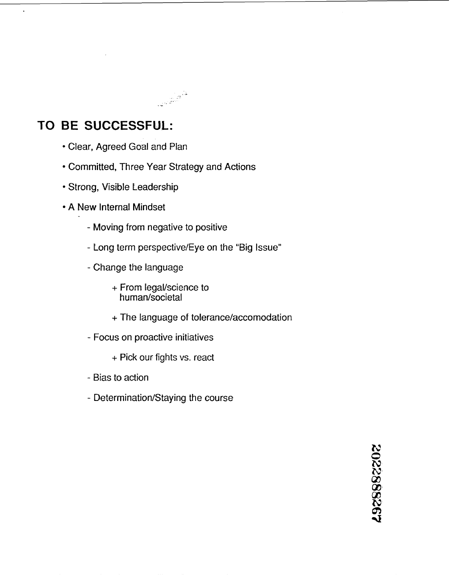

 $\ddot{\phantom{a}}$ 

- Clear, Agreed Goal and Plan
- Committed, Three Year Strategy and Actions
- Strong, Visible Leadership
- A New Internal Mindset
	- Moving from negative to positive
	- Long term perspective/Eye on the "Big Issue"
	- Change the language
		- + From legal/science to hurnan/societal
		- + The language of tolerance/accornodation
	- Focus on proactive initiatives
		- + Pick our fights vs. react
	- Bias to action
	- Determination/Staying the course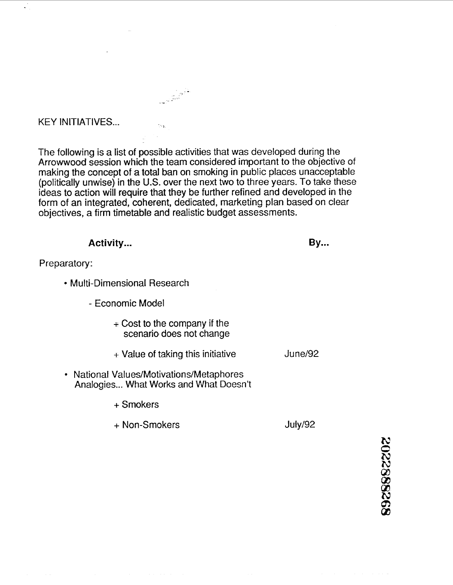#### KEY INITIATIVES...

The following is a list of possible activities that was developed during the Arrowwood session which the team considered important to the objective of making the concept of a total ban on smoking in public places unacceptable (politically unwise) in the U.S. over the next two to three years. To take these ideas to action will require that they be further refined and developed in the form of an integrated, coherent, dedicated, marketing plan based on clear objectives, a firm timetable and realistic budget assessments.

.<br>Tria

**Activity... By...** Preparatory: Multi-Dimensional Research - Economic Model  $+$  Cost to the company if the scenario does not change June/92  $+$  Value of taking this initiative National Values/Motivations/Metaphores Analogies... What Works and What Doesn't + Smokers

> + Non-Smokers July/92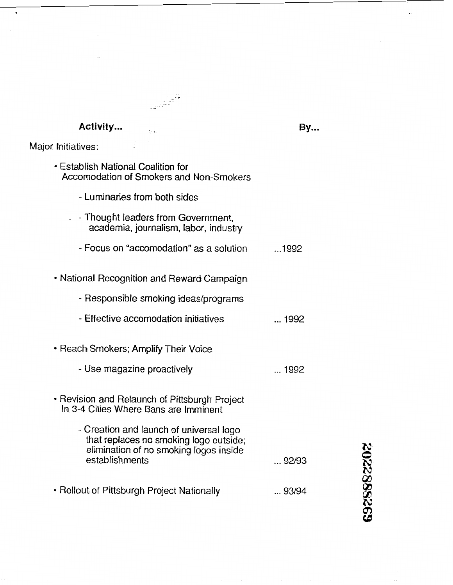# **Activity** ...

t<br>Va

**By...** 

892888202

 $\bar{z}$ 

 $\ddot{\phantom{0}}$ 

Major Initiatives:

 $\ddot{\phantom{0}}$ 

| • Establish National Coalition for<br>Accomodation of Smokers and Non-Smokers                                               |              |
|-----------------------------------------------------------------------------------------------------------------------------|--------------|
| - Luminaries from both sides                                                                                                |              |
| - Thought leaders from Government,<br>academia, journalism, labor, industry                                                 |              |
| - Focus on "accomodation" as a solution                                                                                     | 1992         |
| • National Recognition and Reward Campaign                                                                                  |              |
| - Responsible smoking ideas/programs                                                                                        |              |
| - Effective accomodation initiatives                                                                                        | $\dots$ 1992 |
| • Reach Smokers; Amplify Their Voice                                                                                        |              |
| - Use magazine proactively                                                                                                  | … 1992       |
| • Revision and Relaunch of Pittsburgh Project<br>In 3-4 Cities Where Bans are Imminent                                      |              |
| - Creation and launch of universal logo<br>that replaces no smoking logo outside;<br>elimination of no smoking logos inside |              |
|                                                                                                                             |              |
| establishments                                                                                                              | 92/93        |